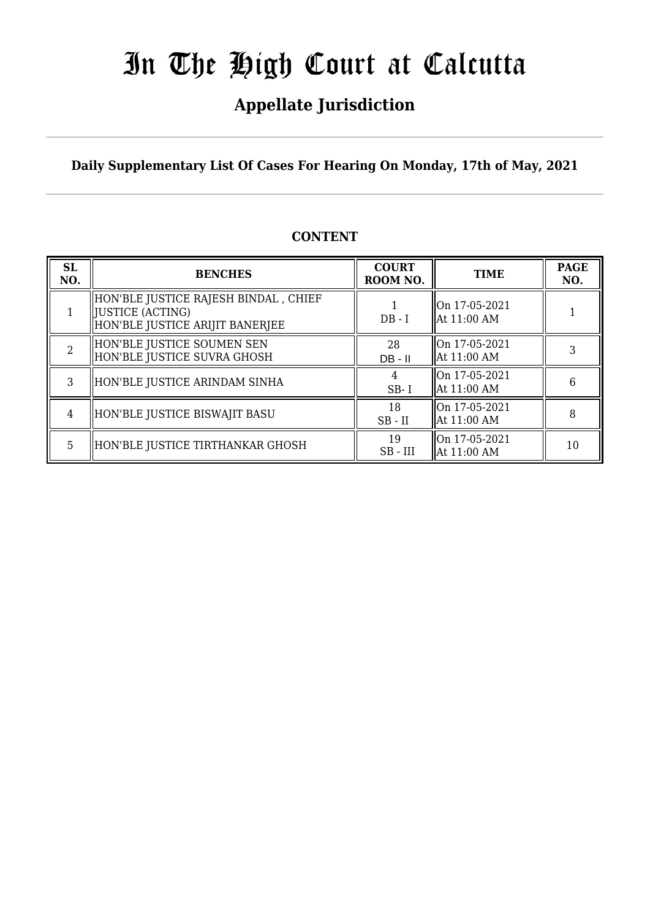# **Appellate Jurisdiction**

**Daily Supplementary List Of Cases For Hearing On Monday, 17th of May, 2021**

## **CONTENT**

| <b>SL</b><br>NO. | <b>BENCHES</b>                                                                                | <b>COURT</b><br>ROOM NO. | <b>TIME</b>                  | <b>PAGE</b><br>NO. |
|------------------|-----------------------------------------------------------------------------------------------|--------------------------|------------------------------|--------------------|
|                  | HON'BLE JUSTICE RAJESH BINDAL , CHIEF<br>[JUSTICE (ACTING)<br>HON'BLE JUSTICE ARIJIT BANERJEE | $DB - I$                 | On 17-05-2021<br>At 11:00 AM |                    |
|                  | HON'BLE JUSTICE SOUMEN SEN<br>HON'BLE JUSTICE SUVRA GHOSH                                     | 28<br>$DB - II$          | On 17-05-2021<br>At 11:00 AM |                    |
| 3                | HON'BLE JUSTICE ARINDAM SINHA                                                                 | $SB-I$                   | On 17-05-2021<br>At 11:00 AM | 6                  |
| 4                | HON'BLE JUSTICE BISWAJIT BASU                                                                 | 18<br>$SB$ - $II$        | On 17-05-2021<br>At 11:00 AM | 8                  |
| 5.               | HON'BLE JUSTICE TIRTHANKAR GHOSH                                                              | 19<br>$SB$ - $III$       | On 17-05-2021<br>At 11:00 AM | 10                 |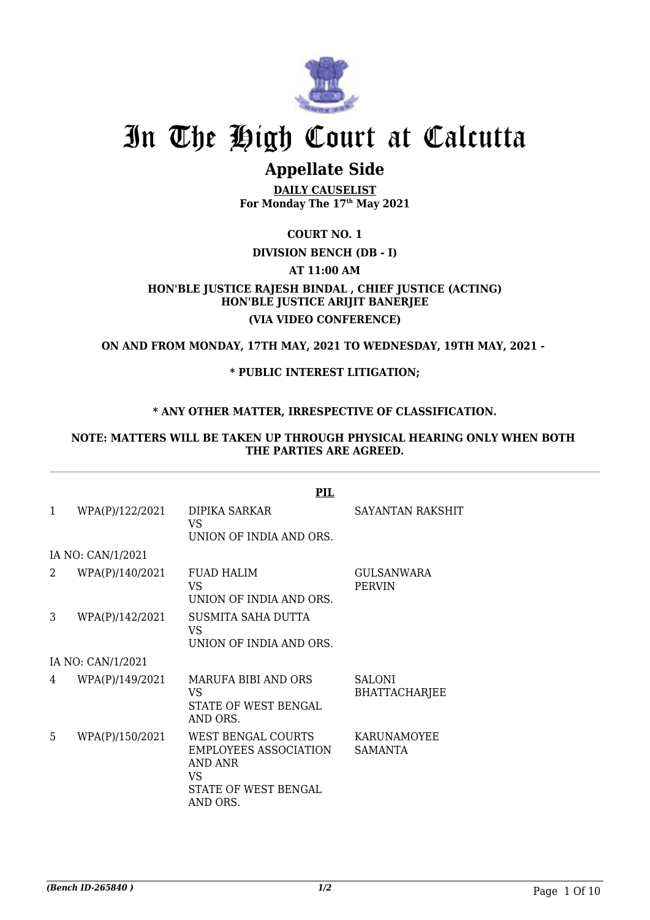

# **Appellate Side**

**DAILY CAUSELIST For Monday The 17th May 2021**

**COURT NO. 1**

### **DIVISION BENCH (DB - I)**

**AT 11:00 AM**

## **HON'BLE JUSTICE RAJESH BINDAL , CHIEF JUSTICE (ACTING) HON'BLE JUSTICE ARIJIT BANERJEE (VIA VIDEO CONFERENCE)**

### **ON AND FROM MONDAY, 17TH MAY, 2021 TO WEDNESDAY, 19TH MAY, 2021 -**

### **\* PUBLIC INTEREST LITIGATION;**

### **\* ANY OTHER MATTER, IRRESPECTIVE OF CLASSIFICATION.**

#### **NOTE: MATTERS WILL BE TAKEN UP THROUGH PHYSICAL HEARING ONLY WHEN BOTH THE PARTIES ARE AGREED.**

| PIL               |                   |                                                                                                                       |                                       |  |
|-------------------|-------------------|-----------------------------------------------------------------------------------------------------------------------|---------------------------------------|--|
| 1                 | WPA(P)/122/2021   | DIPIKA SARKAR<br><b>VS</b><br>UNION OF INDIA AND ORS.                                                                 | SAYANTAN RAKSHIT                      |  |
|                   | IA NO: CAN/1/2021 |                                                                                                                       |                                       |  |
| 2                 | WPA(P)/140/2021   | FUAD HALIM<br><b>VS</b><br>UNION OF INDIA AND ORS.                                                                    | GULSANWARA<br><b>PERVIN</b>           |  |
| 3                 | WPA(P)/142/2021   | SUSMITA SAHA DUTTA<br><b>VS</b><br>UNION OF INDIA AND ORS.                                                            |                                       |  |
| IA NO: CAN/1/2021 |                   |                                                                                                                       |                                       |  |
| 4                 | WPA(P)/149/2021   | MARUFA BIBI AND ORS<br>VS<br>STATE OF WEST BENGAL<br>AND ORS.                                                         | <b>SALONI</b><br><b>BHATTACHARJEE</b> |  |
| 5                 | WPA(P)/150/2021   | <b>WEST BENGAL COURTS</b><br><b>EMPLOYEES ASSOCIATION</b><br>AND ANR<br><b>VS</b><br>STATE OF WEST BENGAL<br>AND ORS. | <b>KARUNAMOYEE</b><br><b>SAMANTA</b>  |  |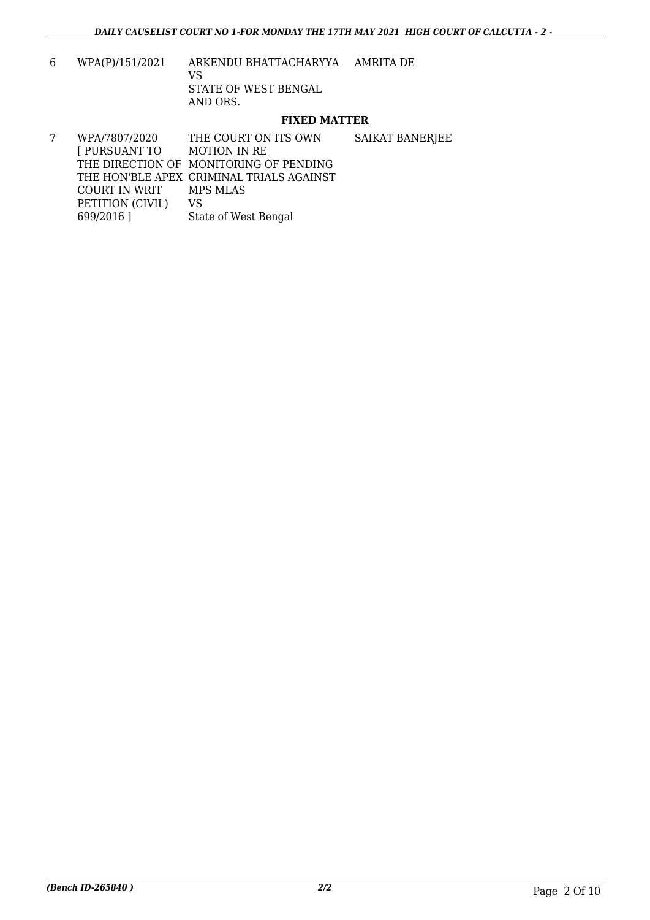6 WPA(P)/151/2021 ARKENDU BHATTACHARYYA VS STATE OF WEST BENGAL AND ORS. AMRITA DE

### **FIXED MATTER**

7 WPA/7807/2020 **[ PURSUANT TO** THE DIRECTION OF MONITORING OF PENDING THE HON'BLE APEX CRIMINAL TRIALS AGAINST COURT IN WRIT PETITION (CIVIL) 699/2016 ] THE COURT ON ITS OWN MOTION IN RE MPS MLAS VS State of West Bengal SAIKAT BANERJEE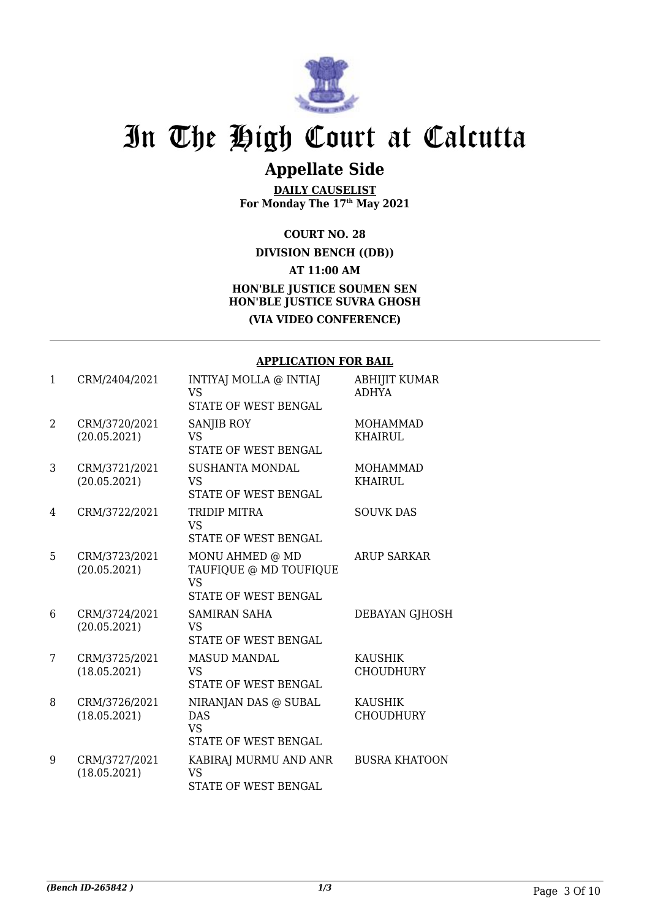

## **Appellate Side**

**DAILY CAUSELIST For Monday The 17th May 2021**

**COURT NO. 28**

**DIVISION BENCH ((DB)) AT 11:00 AM HON'BLE JUSTICE SOUMEN SEN HON'BLE JUSTICE SUVRA GHOSH**

### **(VIA VIDEO CONFERENCE)**

### **APPLICATION FOR BAIL**

| 1 | CRM/2404/2021                 | INTIYAJ MOLLA @ INTIAJ<br><b>VS</b><br><b>STATE OF WEST BENGAL</b>             | <b>ABHIJIT KUMAR</b><br><b>ADHYA</b> |
|---|-------------------------------|--------------------------------------------------------------------------------|--------------------------------------|
| 2 | CRM/3720/2021<br>(20.05.2021) | SANJIB ROY<br><b>VS</b><br><b>STATE OF WEST BENGAL</b>                         | <b>MOHAMMAD</b><br><b>KHAIRUL</b>    |
| 3 | CRM/3721/2021<br>(20.05.2021) | SUSHANTA MONDAL<br>VS<br><b>STATE OF WEST BENGAL</b>                           | <b>MOHAMMAD</b><br><b>KHAIRUL</b>    |
| 4 | CRM/3722/2021                 | TRIDIP MITRA<br><b>VS</b><br><b>STATE OF WEST BENGAL</b>                       | <b>SOUVK DAS</b>                     |
| 5 | CRM/3723/2021<br>(20.05.2021) | MONU AHMED @ MD<br>TAUFIQUE @ MD TOUFIQUE<br><b>VS</b><br>STATE OF WEST BENGAL | <b>ARUP SARKAR</b>                   |
| 6 | CRM/3724/2021<br>(20.05.2021) | <b>SAMIRAN SAHA</b><br><b>VS</b><br>STATE OF WEST BENGAL                       | DEBAYAN GJHOSH                       |
| 7 | CRM/3725/2021<br>(18.05.2021) | <b>MASUD MANDAL</b><br><b>VS</b><br>STATE OF WEST BENGAL                       | <b>KAUSHIK</b><br><b>CHOUDHURY</b>   |
| 8 | CRM/3726/2021<br>(18.05.2021) | NIRANJAN DAS @ SUBAL<br><b>DAS</b><br><b>VS</b><br><b>STATE OF WEST BENGAL</b> | <b>KAUSHIK</b><br><b>CHOUDHURY</b>   |
| 9 | CRM/3727/2021<br>(18.05.2021) | KABIRAJ MURMU AND ANR<br><b>VS</b><br><b>STATE OF WEST BENGAL</b>              | <b>BUSRA KHATOON</b>                 |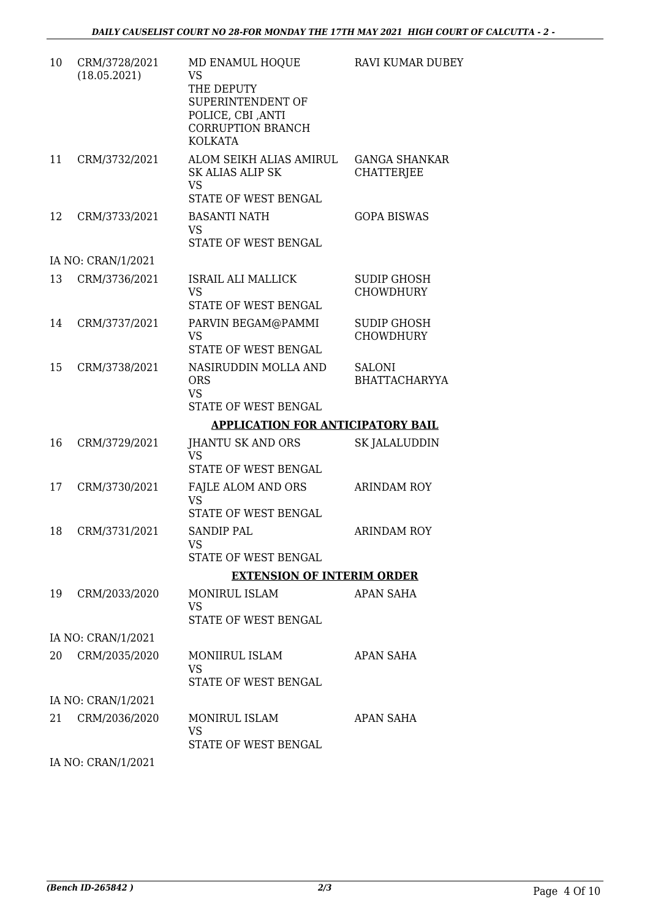| 10 | CRM/3728/2021<br>(18.05.2021) | MD ENAMUL HOQUE<br><b>VS</b><br>THE DEPUTY<br>SUPERINTENDENT OF<br>POLICE, CBI ,ANTI<br><b>CORRUPTION BRANCH</b><br><b>KOLKATA</b> | RAVI KUMAR DUBEY                          |
|----|-------------------------------|------------------------------------------------------------------------------------------------------------------------------------|-------------------------------------------|
| 11 | CRM/3732/2021                 | ALOM SEIKH ALIAS AMIRUL<br><b>SK ALIAS ALIP SK</b><br><b>VS</b>                                                                    | <b>GANGA SHANKAR</b><br><b>CHATTERJEE</b> |
|    |                               | STATE OF WEST BENGAL                                                                                                               |                                           |
| 12 | CRM/3733/2021                 | <b>BASANTI NATH</b><br><b>VS</b><br>STATE OF WEST BENGAL                                                                           | <b>GOPA BISWAS</b>                        |
|    | IA NO: CRAN/1/2021            |                                                                                                                                    |                                           |
| 13 | CRM/3736/2021                 | <b>ISRAIL ALI MALLICK</b><br><b>VS</b>                                                                                             | <b>SUDIP GHOSH</b><br><b>CHOWDHURY</b>    |
|    |                               | STATE OF WEST BENGAL                                                                                                               |                                           |
| 14 | CRM/3737/2021                 | PARVIN BEGAM@PAMMI<br>VS                                                                                                           | <b>SUDIP GHOSH</b><br><b>CHOWDHURY</b>    |
| 15 | CRM/3738/2021                 | STATE OF WEST BENGAL<br>NASIRUDDIN MOLLA AND                                                                                       | <b>SALONI</b>                             |
|    |                               | <b>ORS</b><br><b>VS</b>                                                                                                            | <b>BHATTACHARYYA</b>                      |
|    |                               | STATE OF WEST BENGAL                                                                                                               |                                           |
|    |                               | <b>APPLICATION FOR ANTICIPATORY BAIL</b>                                                                                           |                                           |
| 16 | CRM/3729/2021                 | JHANTU SK AND ORS<br><b>VS</b>                                                                                                     | SK JALALUDDIN                             |
|    |                               | STATE OF WEST BENGAL                                                                                                               |                                           |
| 17 | CRM/3730/2021                 | <b>FAJLE ALOM AND ORS</b><br><b>VS</b><br>STATE OF WEST BENGAL                                                                     | <b>ARINDAM ROY</b>                        |
| 18 | CRM/3731/2021                 | SANDIP PAL                                                                                                                         | <b>ARINDAM ROY</b>                        |
|    |                               | VS                                                                                                                                 |                                           |
|    |                               | STATE OF WEST BENGAL                                                                                                               |                                           |
|    |                               | <b>EXTENSION OF INTERIM ORDER</b>                                                                                                  |                                           |
| 19 | CRM/2033/2020                 | MONIRUL ISLAM<br><b>VS</b><br>STATE OF WEST BENGAL                                                                                 | APAN SAHA                                 |
|    | IA NO: CRAN/1/2021            |                                                                                                                                    |                                           |
| 20 |                               |                                                                                                                                    |                                           |
|    | CRM/2035/2020                 | MONIIRUL ISLAM<br><b>VS</b><br>STATE OF WEST BENGAL                                                                                | APAN SAHA                                 |
|    | IA NO: CRAN/1/2021            |                                                                                                                                    |                                           |
| 21 | CRM/2036/2020                 | MONIRUL ISLAM                                                                                                                      | APAN SAHA                                 |
|    |                               | <b>VS</b>                                                                                                                          |                                           |
|    |                               | STATE OF WEST BENGAL                                                                                                               |                                           |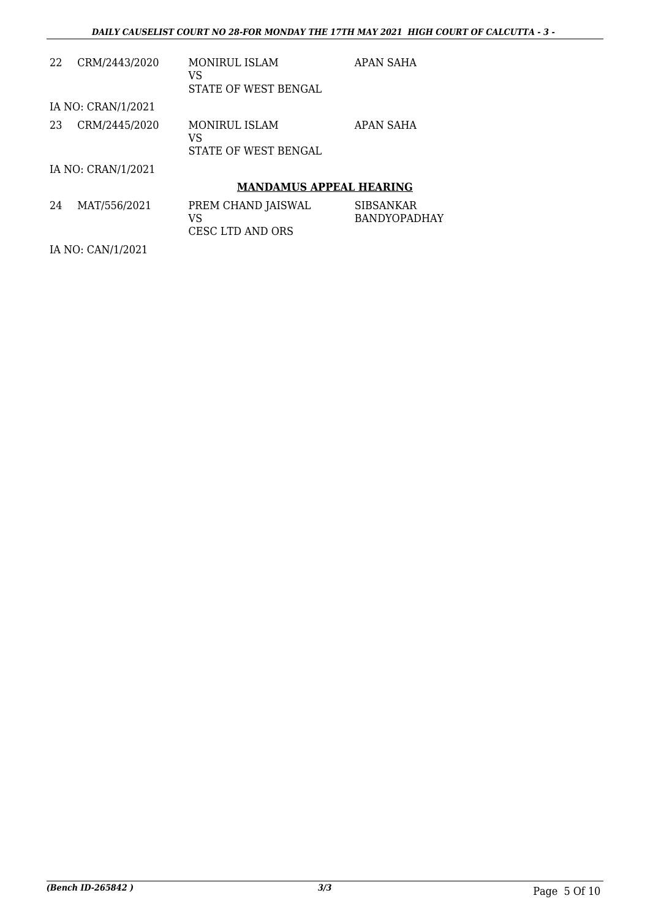| 22 | CRM/2443/2020      | <b>MONIRUL ISLAM</b><br>VS<br>STATE OF WEST BENGAL | APAN SAHA                               |
|----|--------------------|----------------------------------------------------|-----------------------------------------|
|    | IA NO: CRAN/1/2021 |                                                    |                                         |
| 23 | CRM/2445/2020      | <b>MONIRUL ISLAM</b><br>VS<br>STATE OF WEST BENGAL | APAN SAHA                               |
|    | IA NO: CRAN/1/2021 |                                                    |                                         |
|    |                    | <b>MANDAMUS APPEAL HEARING</b>                     |                                         |
| 24 | MAT/556/2021       | PREM CHAND JAISWAL<br>VS<br>CESC LTD AND ORS       | <b>SIBSANKAR</b><br><b>BANDYOPADHAY</b> |

IA NO: CAN/1/2021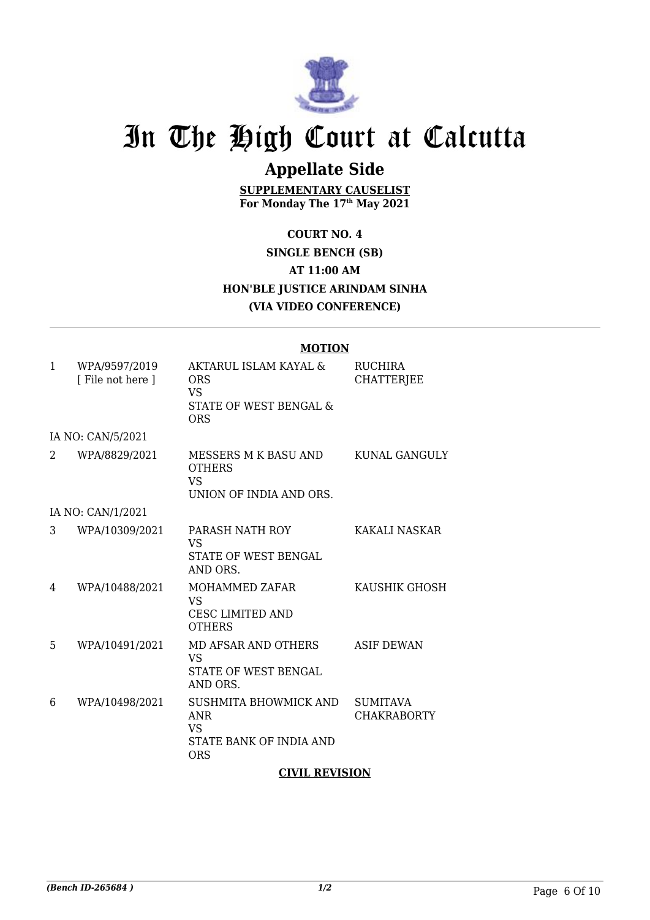

## **Appellate Side**

**SUPPLEMENTARY CAUSELIST For Monday The 17th May 2021**

**COURT NO. 4 SINGLE BENCH (SB) AT 11:00 AM HON'BLE JUSTICE ARINDAM SINHA (VIA VIDEO CONFERENCE)**

#### **MOTION** 1 WPA/9597/2019 [ File not here ] AKTARUL ISLAM KAYAL & ORS VS STATE OF WEST BENGAL & ORS RUCHIRA **CHATTERIEE** IA NO: CAN/5/2021 2 WPA/8829/2021 MESSERS M K BASU AND **OTHERS** VS UNION OF INDIA AND ORS. KUNAL GANGULY IA NO: CAN/1/2021 3 WPA/10309/2021 PARASH NATH ROY VS STATE OF WEST BENGAL AND ORS. KAKALI NASKAR 4 WPA/10488/2021 MOHAMMED ZAFAR VS CESC LIMITED AND **OTHERS** KAUSHIK GHOSH 5 WPA/10491/2021 MD AFSAR AND OTHERS VS STATE OF WEST BENGAL AND ORS. ASIF DEWAN 6 WPA/10498/2021 SUSHMITA BHOWMICK AND ANR VS STATE BANK OF INDIA AND ORS SUMITAVA CHAKRABORTY

### **CIVIL REVISION**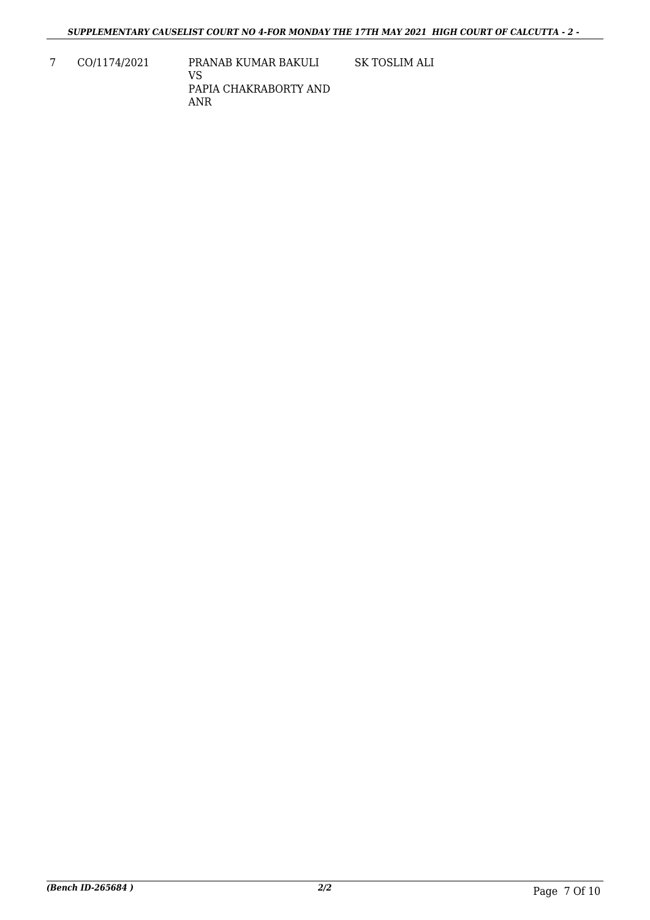7 CO/1174/2021 PRANAB KUMAR BAKULI VS PAPIA CHAKRABORTY AND ANR SK TOSLIM ALI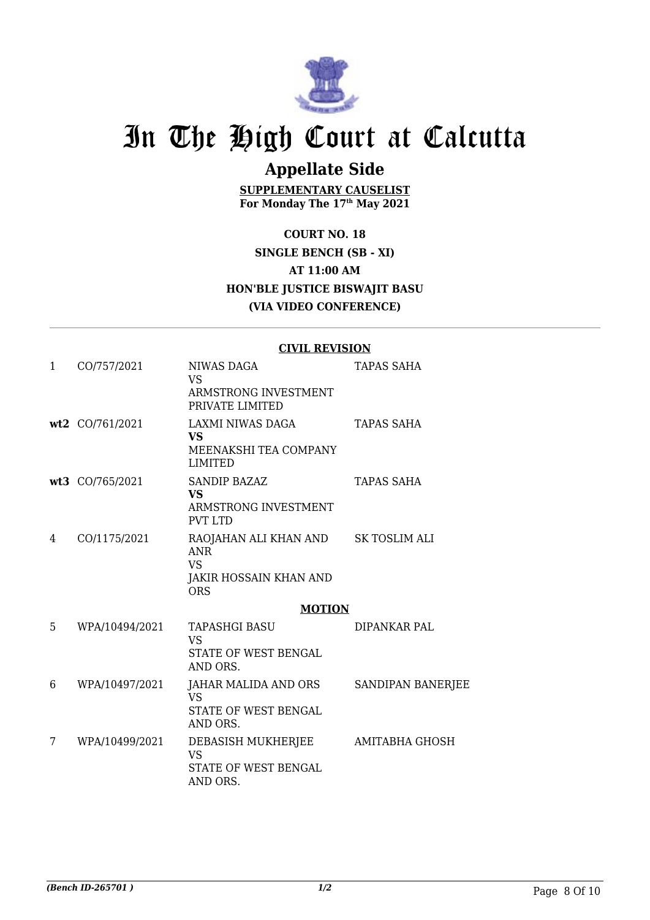

## **Appellate Side**

**SUPPLEMENTARY CAUSELIST For Monday The 17th May 2021**

**COURT NO. 18 SINGLE BENCH (SB - XI) AT 11:00 AM HON'BLE JUSTICE BISWAJIT BASU (VIA VIDEO CONFERENCE)**

|              |                 | <b>CIVIL REVISION</b>                                                                                         |                   |  |
|--------------|-----------------|---------------------------------------------------------------------------------------------------------------|-------------------|--|
| $\mathbf{1}$ | CO/757/2021     | NIWAS DAGA<br><b>VS</b><br>ARMSTRONG INVESTMENT<br>PRIVATE LIMITED                                            | TAPAS SAHA        |  |
|              | wt2 CO/761/2021 | LAXMI NIWAS DAGA<br><b>VS</b><br>MEENAKSHI TEA COMPANY<br><b>LIMITED</b>                                      | TAPAS SAHA        |  |
|              | wt3 CO/765/2021 | <b>SANDIP BAZAZ</b><br><b>VS</b><br>ARMSTRONG INVESTMENT<br><b>PVT LTD</b>                                    | <b>TAPAS SAHA</b> |  |
| 4            | CO/1175/2021    | RAOJAHAN ALI KHAN AND SK TOSLIM ALI<br><b>ANR</b><br><b>VS</b><br><b>JAKIR HOSSAIN KHAN AND</b><br><b>ORS</b> |                   |  |
|              |                 | <b>MOTION</b>                                                                                                 |                   |  |
| 5            | WPA/10494/2021  | <b>TAPASHGI BASU</b><br><b>VS</b><br>STATE OF WEST BENGAL<br>AND ORS.                                         | DIPANKAR PAL      |  |
| 6            | WPA/10497/2021  | JAHAR MALIDA AND ORS<br><b>VS</b><br>STATE OF WEST BENGAL<br>AND ORS.                                         | SANDIPAN BANERJEE |  |
| 7            | WPA/10499/2021  | DEBASISH MUKHERJEE<br><b>VS</b><br>STATE OF WEST BENGAL<br>AND ORS.                                           | AMITABHA GHOSH    |  |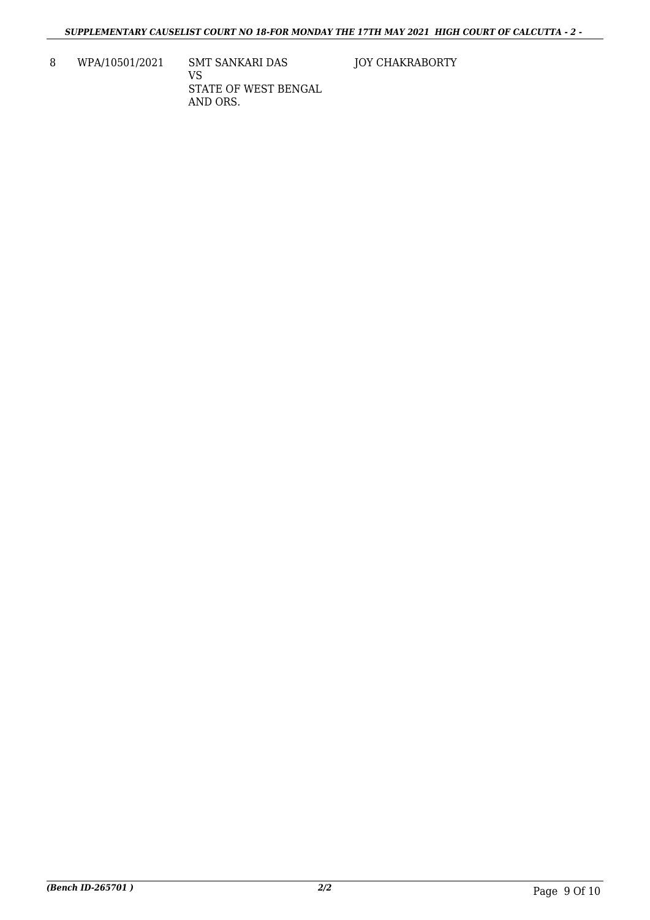8 WPA/10501/2021 SMT SANKARI DAS VS STATE OF WEST BENGAL AND ORS.

JOY CHAKRABORTY